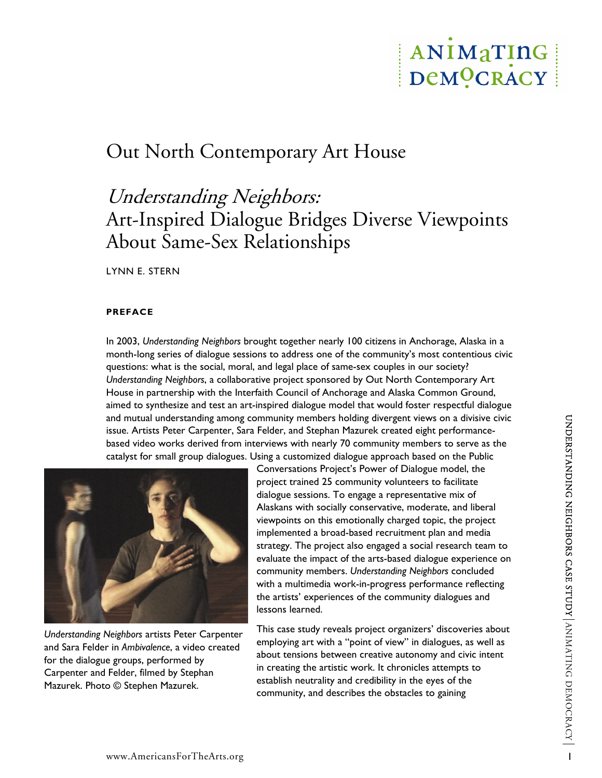

# Out North Contemporary Art House

# Understanding Neighbors: Art-Inspired Dialogue Bridges Diverse Viewpoints About Same-Sex Relationships

LYNN E. STERN

#### **PREFACE**

In 2003, *Understanding Neighbors* brought together nearly 100 citizens in Anchorage, Alaska in a month-long series of dialogue sessions to address one of the community's most contentious civic questions: what is the social, moral, and legal place of same-sex couples in our society? *Understanding Neighbors*, a collaborative project sponsored by Out North Contemporary Art House in partnership with the Interfaith Council of Anchorage and Alaska Common Ground, aimed to synthesize and test an art-inspired dialogue model that would foster respectful dialogue and mutual understanding among community members holding divergent views on a divisive civic issue. Artists Peter Carpenter, Sara Felder, and Stephan Mazurek created eight performancebased video works derived from interviews with nearly 70 community members to serve as the catalyst for small group dialogues. Using a customized dialogue approach based on the Public



*Understanding Neighbors* artists Peter Carpenter and Sara Felder in *Ambivalence*, a video created for the dialogue groups, performed by Carpenter and Felder, filmed by Stephan Mazurek. Photo © Stephen Mazurek.

and mutual understanding among community members holding divergent views on a divisor exception. States of the community the state of the control of the state of the control of the control of the control of the control of Conversations Project's Power of Dialogue model, the project trained 25 community volunteers to facilitate dialogue sessions. To engage a representative mix of Alaskans with socially conservative, moderate, and liberal viewpoints on this emotionally charged topic, the project implemented a broad-based recruitment plan and media strategy. The project also engaged a social research team to evaluate the impact of the arts-based dialogue experience on community members. *Understanding Neighbors* concluded with a multimedia work-in-progress performance reflecting the artists' experiences of the community dialogues and lessons learned.

This case study reveals project organizers' discoveries about employing art with a "point of view" in dialogues, as well as about tensions between creative autonomy and civic intent in creating the artistic work. It chronicles attempts to establish neutrality and credibility in the eyes of the community, and describes the obstacles to gaining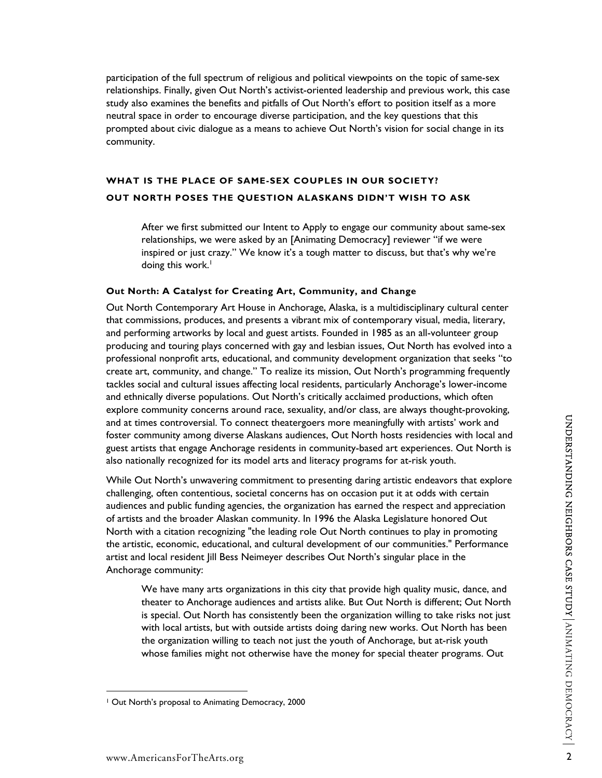participation of the full spectrum of religious and political viewpoints on the topic of same-sex relationships. Finally, given Out North's activist-oriented leadership and previous work, this case study also examines the benefits and pitfalls of Out North's effort to position itself as a more neutral space in order to encourage diverse participation, and the key questions that this prompted about civic dialogue as a means to achieve Out North's vision for social change in its community.

# **WHAT IS THE PLACE OF SAME-SEX COUPLES IN OUR SOCIETY? OUT NORTH POSES THE QUESTION ALASKANS DIDN'T WISH TO ASK**

After we first submitted our Intent to Apply to engage our community about same-sex relationships, we were asked by an [Animating Democracy] reviewer "if we were inspired or just crazy." We know it's a tough matter to discuss, but that's why we're doing this work.<sup>1</sup>

#### **Out North: A Catalyst for Creating Art, Community, and Change**

Out North Contemporary Art House in Anchorage, Alaska, is a multidisciplinary cultural center that commissions, produces, and presents a vibrant mix of contemporary visual, media, literary, and performing artworks by local and guest artists. Founded in 1985 as an all-volunteer group producing and touring plays concerned with gay and lesbian issues, Out North has evolved into a professional nonprofit arts, educational, and community development organization that seeks "to create art, community, and change." To realize its mission, Out North's programming frequently tackles social and cultural issues affecting local residents, particularly Anchorage's lower-income and ethnically diverse populations. Out North's critically acclaimed productions, which often explore community concerns around race, sexuality, and/or class, are always thought-provoking, and at times controversial. To connect theatergoers more meaningfully with artists' work and foster community among diverse Alaskans audiences, Out North hosts residencies with local and guest artists that engage Anchorage residents in community-based art experiences. Out North is also nationally recognized for its model arts and literacy programs for at-risk youth.

and at times controversial. To connect theatergoers more meaningfully with artists' work and<br>foster community-mong diverse Alakhan sudences, O.ut North instead and<br>guest artists that engage Anchorage residents in community While Out North's unwavering commitment to presenting daring artistic endeavors that explore challenging, often contentious, societal concerns has on occasion put it at odds with certain audiences and public funding agencies, the organization has earned the respect and appreciation of artists and the broader Alaskan community. In 1996 the Alaska Legislature honored Out North with a citation recognizing "the leading role Out North continues to play in promoting the artistic, economic, educational, and cultural development of our communities." Performance artist and local resident Jill Bess Neimeyer describes Out North's singular place in the Anchorage community:

We have many arts organizations in this city that provide high quality music, dance, and theater to Anchorage audiences and artists alike. But Out North is different; Out North is special. Out North has consistently been the organization willing to take risks not just with local artists, but with outside artists doing daring new works. Out North has been the organization willing to teach not just the youth of Anchorage, but at-risk youth whose families might not otherwise have the money for special theater programs. Out

 $\overline{a}$ 

<sup>1</sup> Out North's proposal to Animating Democracy, 2000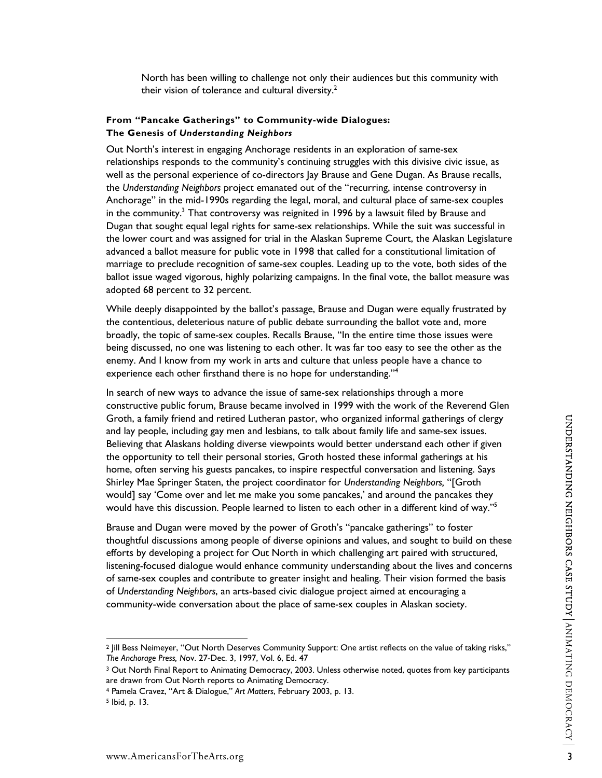North has been willing to challenge not only their audiences but this community with their vision of tolerance and cultural diversity. $2 \overline{ }$ 

## **From "Pancake Gatherings" to Community-wide Dialogues: The Genesis of** *Understanding Neighbors*

Out North's interest in engaging Anchorage residents in an exploration of same-sex relationships responds to the community's continuing struggles with this divisive civic issue, as well as the personal experience of co-directors lay Brause and Gene Dugan. As Brause recalls, the *Understanding Neighbors* project emanated out of the "recurring, intense controversy in Anchorage" in the mid-1990s regarding the legal, moral, and cultural place of same-sex couples in the community.<sup>3</sup> That controversy was reignited in 1996 by a lawsuit filed by Brause and Dugan that sought equal legal rights for same-sex relationships. While the suit was successful in the lower court and was assigned for trial in the Alaskan Supreme Court, the Alaskan Legislature advanced a ballot measure for public vote in 1998 that called for a constitutional limitation of marriage to preclude recognition of same-sex couples. Leading up to the vote, both sides of the ballot issue waged vigorous, highly polarizing campaigns. In the final vote, the ballot measure was adopted 68 percent to 32 percent.

While deeply disappointed by the ballot's passage, Brause and Dugan were equally frustrated by the contentious, deleterious nature of public debate surrounding the ballot vote and, more broadly, the topic of same-sex couples. Recalls Brause, "In the entire time those issues were being discussed, no one was listening to each other. It was far too easy to see the other as the enemy. And I know from my work in arts and culture that unless people have a chance to experience each other firsthand there is no hope for understanding."<sup>4</sup>

Grooth, a family frieted and retired Lutheran pastor, who organized informal gatherings of clergy<br>and hy popple, including gay men and lesbians, to talk about family life and same-sex issues.<br>Believing that Alaskans holdi In search of new ways to advance the issue of same-sex relationships through a more constructive public forum, Brause became involved in 1999 with the work of the Reverend Glen Groth, a family friend and retired Lutheran pastor, who organized informal gatherings of clergy and lay people, including gay men and lesbians, to talk about family life and same-sex issues. Believing that Alaskans holding diverse viewpoints would better understand each other if given the opportunity to tell their personal stories, Groth hosted these informal gatherings at his home, often serving his guests pancakes, to inspire respectful conversation and listening. Says Shirley Mae Springer Staten, the project coordinator for *Understanding Neighbors,* "[Groth would] say 'Come over and let me make you some pancakes,' and around the pancakes they would have this discussion. People learned to listen to each other in a different kind of way."<sup>5</sup>

Brause and Dugan were moved by the power of Groth's "pancake gatherings" to foster thoughtful discussions among people of diverse opinions and values, and sought to build on these efforts by developing a project for Out North in which challenging art paired with structured, listening-focused dialogue would enhance community understanding about the lives and concerns of same-sex couples and contribute to greater insight and healing. Their vision formed the basis of *Understanding Neighbors*, an arts-based civic dialogue project aimed at encouraging a community-wide conversation about the place of same-sex couples in Alaskan society.

 $\overline{a}$ 2 Jill Bess Neimeyer, "Out North Deserves Community Support: One artist reflects on the value of taking risks," *The Anchorage Press, N*ov. 27-Dec. 3, 1997, Vol. 6, Ed. 47

<sup>3</sup> Out North Final Report to Animating Democracy, 2003. Unless otherwise noted, quotes from key participants are drawn from Out North reports to Animating Democracy.

<sup>4</sup> Pamela Cravez, "Art & Dialogue," *Art Matters*, February 2003, p. 13.

<sup>5</sup> Ibid, p. 13.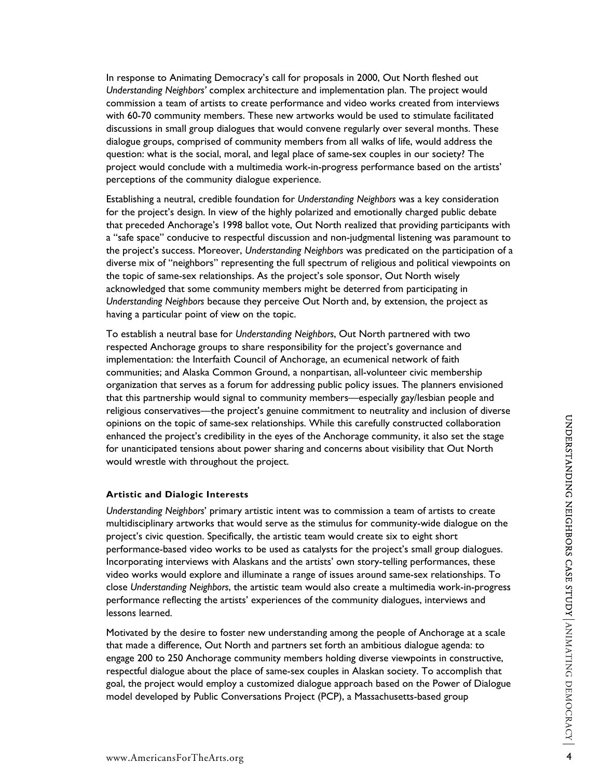In response to Animating Democracy's call for proposals in 2000, Out North fleshed out *Understanding Neighbors'* complex architecture and implementation plan. The project would commission a team of artists to create performance and video works created from interviews with 60-70 community members. These new artworks would be used to stimulate facilitated discussions in small group dialogues that would convene regularly over several months. These dialogue groups, comprised of community members from all walks of life, would address the question: what is the social, moral, and legal place of same-sex couples in our society? The project would conclude with a multimedia work-in-progress performance based on the artists' perceptions of the community dialogue experience.

Establishing a neutral, credible foundation for *Understanding Neighbors* was a key consideration for the project's design. In view of the highly polarized and emotionally charged public debate that preceded Anchorage's 1998 ballot vote, Out North realized that providing participants with a "safe space" conducive to respectful discussion and non-judgmental listening was paramount to the project's success. Moreover, *Understanding Neighbors* was predicated on the participation of a diverse mix of "neighbors" representing the full spectrum of religious and political viewpoints on the topic of same-sex relationships. As the project's sole sponsor, Out North wisely acknowledged that some community members might be deterred from participating in *Understanding Neighbors* because they perceive Out North and, by extension, the project as having a particular point of view on the topic.

To establish a neutral base for *Understanding Neighbors*, Out North partnered with two respected Anchorage groups to share responsibility for the project's governance and implementation: the Interfaith Council of Anchorage, an ecumenical network of faith communities; and Alaska Common Ground, a nonpartisan, all-volunteer civic membership organization that serves as a forum for addressing public policy issues. The planners envisioned that this partnership would signal to community members—especially gay/lesbian people and religious conservatives—the project's genuine commitment to neutrality and inclusion of diverse opinions on the topic of same-sex relationships. While this carefully constructed collaboration enhanced the project's credibility in the eyes of the Anchorage community, it also set the stage for unanticipated tensions about power sharing and concerns about visibility that Out North would wrestle with throughout the project.

#### **Artistic and Dialogic Interests**

opinions on the topic of same-sex relationships. While this carefully constructed collaboration<br>
for unanticipated terojoet's redibility in the eyes of the Anchorage community, it also set the stage<br>
for unanticipated tens *Understanding Neighbors*' primary artistic intent was to commission a team of artists to create multidisciplinary artworks that would serve as the stimulus for community-wide dialogue on the project's civic question. Specifically, the artistic team would create six to eight short performance-based video works to be used as catalysts for the project's small group dialogues. Incorporating interviews with Alaskans and the artists' own story-telling performances, these video works would explore and illuminate a range of issues around same-sex relationships. To close *Understanding Neighbors*, the artistic team would also create a multimedia work-in-progress performance reflecting the artists' experiences of the community dialogues, interviews and lessons learned.

Motivated by the desire to foster new understanding among the people of Anchorage at a scale that made a difference, Out North and partners set forth an ambitious dialogue agenda: to engage 200 to 250 Anchorage community members holding diverse viewpoints in constructive, respectful dialogue about the place of same-sex couples in Alaskan society. To accomplish that goal, the project would employ a customized dialogue approach based on the Power of Dialogue model developed by Public Conversations Project (PCP), a Massachusetts-based group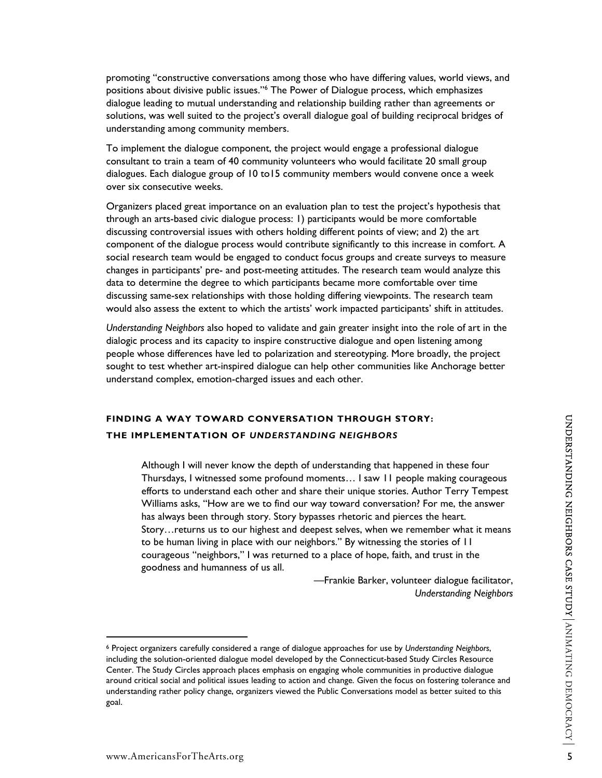promoting "constructive conversations among those who have differing values, world views, and positions about divisive public issues."6 The Power of Dialogue process, which emphasizes dialogue leading to mutual understanding and relationship building rather than agreements or solutions, was well suited to the project's overall dialogue goal of building reciprocal bridges of understanding among community members.

To implement the dialogue component, the project would engage a professional dialogue consultant to train a team of 40 community volunteers who would facilitate 20 small group dialogues. Each dialogue group of 10 to15 community members would convene once a week over six consecutive weeks.

Organizers placed great importance on an evaluation plan to test the project's hypothesis that through an arts-based civic dialogue process: 1) participants would be more comfortable discussing controversial issues with others holding different points of view; and 2) the art component of the dialogue process would contribute significantly to this increase in comfort. A social research team would be engaged to conduct focus groups and create surveys to measure changes in participants' pre- and post-meeting attitudes. The research team would analyze this data to determine the degree to which participants became more comfortable over time discussing same-sex relationships with those holding differing viewpoints. The research team would also assess the extent to which the artists' work impacted participants' shift in attitudes.

*Understanding Neighbors* also hoped to validate and gain greater insight into the role of art in the dialogic process and its capacity to inspire constructive dialogue and open listening among people whose differences have led to polarization and stereotyping. More broadly, the project sought to test whether art-inspired dialogue can help other communities like Anchorage better understand complex, emotion-charged issues and each other.

# **FINDING A WAY TOWARD CONVERSATION THROUGH STORY: THE IMPLEMENTATION OF** *UNDERSTANDING NEIGHBORS*

FINDING A WAY TOWARD CONVERSATION THROUGH STORY:<br>
THE IMPLEMENTATION OF UNDERSTANDING NEIGHBORS<br>
Thursdays, I witnessed some profound moments... I saw I I people making courageous<br>
Thursdays, I witnessed some profound mom Although I will never know the depth of understanding that happened in these four Thursdays, I witnessed some profound moments… I saw 11 people making courageous efforts to understand each other and share their unique stories. Author Terry Tempest Williams asks, "How are we to find our way toward conversation? For me, the answer has always been through story. Story bypasses rhetoric and pierces the heart. Story…returns us to our highest and deepest selves, when we remember what it means to be human living in place with our neighbors." By witnessing the stories of 11 courageous "neighbors," I was returned to a place of hope, faith, and trust in the goodness and humanness of us all.

—Frankie Barker, volunteer dialogue facilitator, *Understanding Neighbors* 

 $\overline{a}$ 

<sup>6</sup> Project organizers carefully considered a range of dialogue approaches for use by *Understanding Neighbors*, including the solution-oriented dialogue model developed by the Connecticut-based Study Circles Resource Center. The Study Circles approach places emphasis on engaging whole communities in productive dialogue around critical social and political issues leading to action and change. Given the focus on fostering tolerance and understanding rather policy change, organizers viewed the Public Conversations model as better suited to this goal.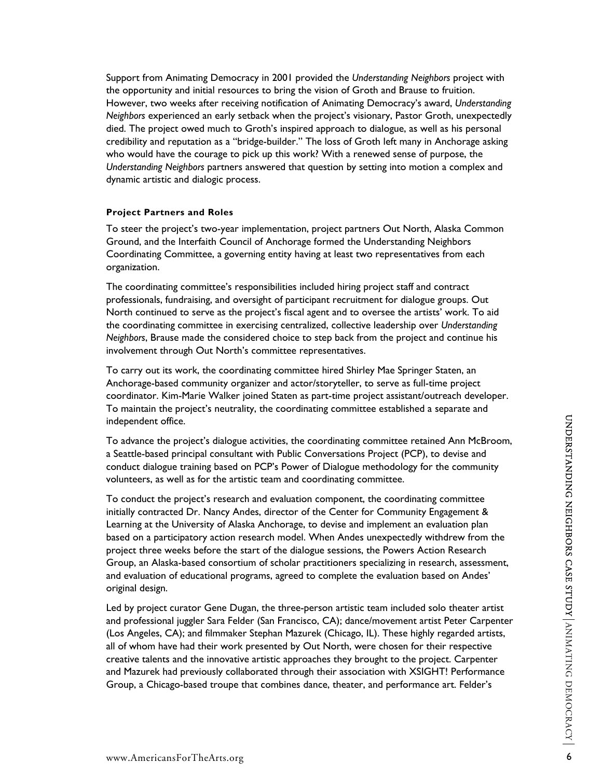Support from Animating Democracy in 2001 provided the *Understanding Neighbors* project with the opportunity and initial resources to bring the vision of Groth and Brause to fruition. However, two weeks after receiving notification of Animating Democracy's award, *Understanding Neighbors* experienced an early setback when the project's visionary, Pastor Groth, unexpectedly died. The project owed much to Groth's inspired approach to dialogue, as well as his personal credibility and reputation as a "bridge-builder." The loss of Groth left many in Anchorage asking who would have the courage to pick up this work? With a renewed sense of purpose, the *Understanding Neighbors* partners answered that question by setting into motion a complex and dynamic artistic and dialogic process.

#### **Project Partners and Roles**

To steer the project's two-year implementation, project partners Out North, Alaska Common Ground, and the Interfaith Council of Anchorage formed the Understanding Neighbors Coordinating Committee, a governing entity having at least two representatives from each organization.

The coordinating committee's responsibilities included hiring project staff and contract professionals, fundraising, and oversight of participant recruitment for dialogue groups. Out North continued to serve as the project's fiscal agent and to oversee the artists' work. To aid the coordinating committee in exercising centralized, collective leadership over *Understanding Neighbors*, Brause made the considered choice to step back from the project and continue his involvement through Out North's committee representatives.

To carry out its work, the coordinating committee hired Shirley Mae Springer Staten, an Anchorage-based community organizer and actor/storyteller, to serve as full-time project coordinator. Kim-Marie Walker joined Staten as part-time project assistant/outreach developer. To maintain the project's neutrality, the coordinating committee established a separate and independent office.

To advance the project's dialogue activities, the coordinating committee retained Ann McBroom, a Seattle-based principal consultant with Public Conversations Project (PCP), to devise and conduct dialogue training based on PCP's Power of Dialogue methodology for the community volunteers, as well as for the artistic team and coordinating committee.

independent office.<br>To advance the project's dialogue activities, the coordinating committee retained Ann McBroom,<br>To advante-based principal consultant with Public Conversations Project (PCP), to devise and<br>conduct dialog To conduct the project's research and evaluation component, the coordinating committee initially contracted Dr. Nancy Andes, director of the Center for Community Engagement & Learning at the University of Alaska Anchorage, to devise and implement an evaluation plan based on a participatory action research model. When Andes unexpectedly withdrew from the project three weeks before the start of the dialogue sessions, the Powers Action Research Group, an Alaska-based consortium of scholar practitioners specializing in research, assessment, and evaluation of educational programs, agreed to complete the evaluation based on Andes' original design.

Led by project curator Gene Dugan, the three-person artistic team included solo theater artist and professional juggler Sara Felder (San Francisco, CA); dance/movement artist Peter Carpenter (Los Angeles, CA); and filmmaker Stephan Mazurek (Chicago, IL). These highly regarded artists, all of whom have had their work presented by Out North, were chosen for their respective creative talents and the innovative artistic approaches they brought to the project. Carpenter and Mazurek had previously collaborated through their association with XSIGHT! Performance Group, a Chicago-based troupe that combines dance, theater, and performance art. Felder's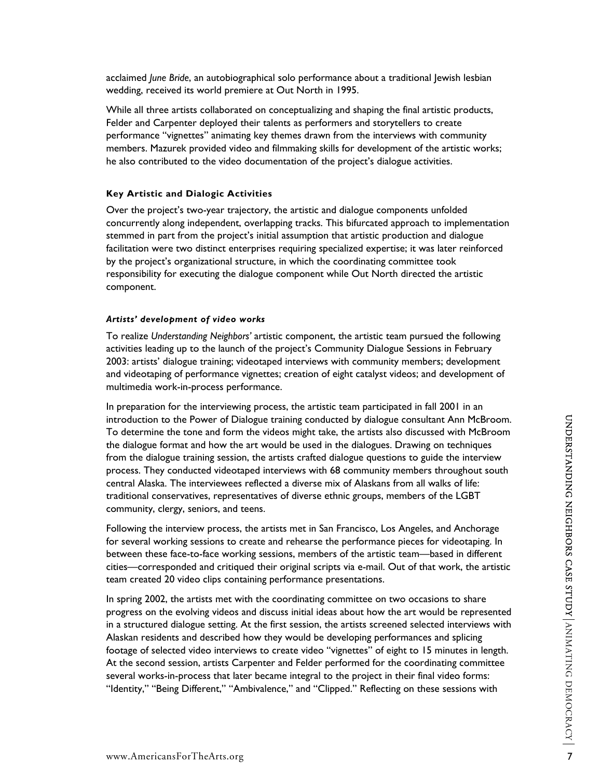acclaimed *June Bride*, an autobiographical solo performance about a traditional Jewish lesbian wedding, received its world premiere at Out North in 1995.

While all three artists collaborated on conceptualizing and shaping the final artistic products, Felder and Carpenter deployed their talents as performers and storytellers to create performance "vignettes" animating key themes drawn from the interviews with community members. Mazurek provided video and filmmaking skills for development of the artistic works; he also contributed to the video documentation of the project's dialogue activities.

#### **Key Artistic and Dialogic Activities**

Over the project's two-year trajectory, the artistic and dialogue components unfolded concurrently along independent, overlapping tracks. This bifurcated approach to implementation stemmed in part from the project's initial assumption that artistic production and dialogue facilitation were two distinct enterprises requiring specialized expertise; it was later reinforced by the project's organizational structure, in which the coordinating committee took responsibility for executing the dialogue component while Out North directed the artistic component.

#### *Artists' development of video works*

To realize *Understanding Neighbors'* artistic component, the artistic team pursued the following activities leading up to the launch of the project's Community Dialogue Sessions in February 2003: artists' dialogue training; videotaped interviews with community members; development and videotaping of performance vignettes; creation of eight catalyst videos; and development of multimedia work-in-process performance.

introduction to the Power of Dialogue training conducted by dialogue consultant Ann MCEroom<br>To determine the tone and form the videos might take, the artists also discussed with MCEroom<br>the dialogue format and how the art In preparation for the interviewing process, the artistic team participated in fall 2001 in an introduction to the Power of Dialogue training conducted by dialogue consultant Ann McBroom. To determine the tone and form the videos might take, the artists also discussed with McBroom the dialogue format and how the art would be used in the dialogues. Drawing on techniques from the dialogue training session, the artists crafted dialogue questions to guide the interview process. They conducted videotaped interviews with 68 community members throughout south central Alaska. The interviewees reflected a diverse mix of Alaskans from all walks of life: traditional conservatives, representatives of diverse ethnic groups, members of the LGBT community, clergy, seniors, and teens.

Following the interview process, the artists met in San Francisco, Los Angeles, and Anchorage for several working sessions to create and rehearse the performance pieces for videotaping. In between these face-to-face working sessions, members of the artistic team—based in different cities—corresponded and critiqued their original scripts via e-mail. Out of that work, the artistic team created 20 video clips containing performance presentations.

In spring 2002, the artists met with the coordinating committee on two occasions to share progress on the evolving videos and discuss initial ideas about how the art would be represented in a structured dialogue setting. At the first session, the artists screened selected interviews with Alaskan residents and described how they would be developing performances and splicing footage of selected video interviews to create video "vignettes" of eight to 15 minutes in length. At the second session, artists Carpenter and Felder performed for the coordinating committee several works-in-process that later became integral to the project in their final video forms: "Identity," "Being Different," "Ambivalence," and "Clipped." Reflecting on these sessions with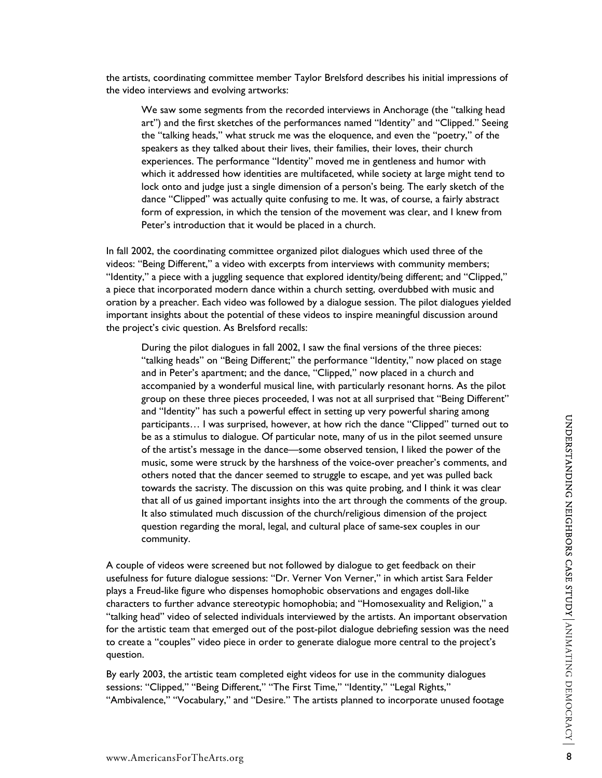We saw some segments from the recorded interviews in Anchorage (the "talking head art") and the first sketches of the performances named "Identity" and "Clipped." Seeing the "talking heads," what struck me was the eloquence, and even the "poetry," of the speakers as they talked about their lives, their families, their loves, their church experiences. The performance "Identity" moved me in gentleness and humor with which it addressed how identities are multifaceted, while society at large might tend to lock onto and judge just a single dimension of a person's being. The early sketch of the dance "Clipped" was actually quite confusing to me. It was, of course, a fairly abstract form of expression, in which the tension of the movement was clear, and I knew from Peter's introduction that it would be placed in a church.

In fall 2002, the coordinating committee organized pilot dialogues which used three of the videos: "Being Different," a video with excerpts from interviews with community members; "Identity," a piece with a juggling sequence that explored identity/being different; and "Clipped," a piece that incorporated modern dance within a church setting, overdubbed with music and oration by a preacher. Each video was followed by a dialogue session. The pilot dialogues yielded important insights about the potential of these videos to inspire meaningful discussion around the project's civic question. As Brelsford recalls:

participants... I was surprised, however, at how rich the dance "Clipped" turned out to be as a stimulate to dalogue. Of particular note, many of us in the plot semel unsure of the article semel of the article semel of th During the pilot dialogues in fall 2002, I saw the final versions of the three pieces: "talking heads" on "Being Different;" the performance "Identity," now placed on stage and in Peter's apartment; and the dance, "Clipped," now placed in a church and accompanied by a wonderful musical line, with particularly resonant horns. As the pilot group on these three pieces proceeded, I was not at all surprised that "Being Different" and "Identity" has such a powerful effect in setting up very powerful sharing among participants… I was surprised, however, at how rich the dance "Clipped" turned out to be as a stimulus to dialogue. Of particular note, many of us in the pilot seemed unsure of the artist's message in the dance—some observed tension, I liked the power of the music, some were struck by the harshness of the voice-over preacher's comments, and others noted that the dancer seemed to struggle to escape, and yet was pulled back towards the sacristy. The discussion on this was quite probing, and I think it was clear that all of us gained important insights into the art through the comments of the group. It also stimulated much discussion of the church/religious dimension of the project question regarding the moral, legal, and cultural place of same-sex couples in our community.

A couple of videos were screened but not followed by dialogue to get feedback on their usefulness for future dialogue sessions: "Dr. Verner Von Verner," in which artist Sara Felder plays a Freud-like figure who dispenses homophobic observations and engages doll-like characters to further advance stereotypic homophobia; and "Homosexuality and Religion," a "talking head" video of selected individuals interviewed by the artists. An important observation for the artistic team that emerged out of the post-pilot dialogue debriefing session was the need to create a "couples" video piece in order to generate dialogue more central to the project's question.

By early 2003, the artistic team completed eight videos for use in the community dialogues sessions: "Clipped," "Being Different," "The First Time," "Identity," "Legal Rights," "Ambivalence," "Vocabulary," and "Desire." The artists planned to incorporate unused footage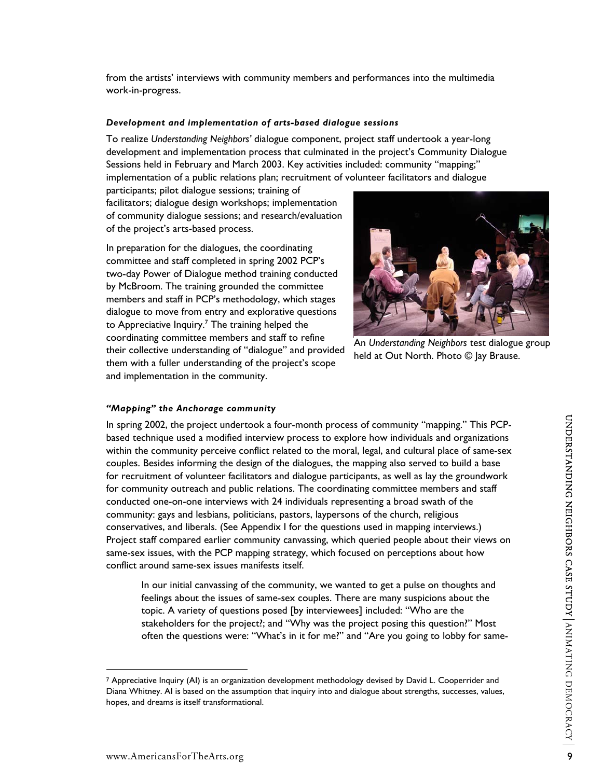from the artists' interviews with community members and performances into the multimedia work-in-progress.

#### *Development and implementation of arts-based dialogue sessions*

To realize *Understanding Neighbors'* dialogue component, project staff undertook a year-long development and implementation process that culminated in the project's Community Dialogue Sessions held in February and March 2003. Key activities included: community "mapping;" implementation of a public relations plan; recruitment of volunteer facilitators and dialogue

participants; pilot dialogue sessions; training of facilitators; dialogue design workshops; implementation of community dialogue sessions; and research/evaluation of the project's arts-based process.

In preparation for the dialogues, the coordinating committee and staff completed in spring 2002 PCP's two-day Power of Dialogue method training conducted by McBroom. The training grounded the committee members and staff in PCP's methodology, which stages dialogue to move from entry and explorative questions to Appreciative Inquiry.<sup>7</sup> The training helped the coordinating committee members and staff to refine their collective understanding of "dialogue" and provided them with a fuller understanding of the project's scope and implementation in the community.



An *Understanding Neighbors* test dialogue group held at Out North. Photo © lay Brause.

#### *"Mapping" the Anchorage community*

In spring 2002, the project undertook a four-month process of community "mapping." This PCP-<br>
based technique used a modified interview process to explore how individuals and organizations<br>
within the community perceive co In spring 2002, the project undertook a four-month process of community "mapping." This PCPbased technique used a modified interview process to explore how individuals and organizations within the community perceive conflict related to the moral, legal, and cultural place of same-sex couples. Besides informing the design of the dialogues, the mapping also served to build a base for recruitment of volunteer facilitators and dialogue participants, as well as lay the groundwork for community outreach and public relations. The coordinating committee members and staff conducted one-on-one interviews with 24 individuals representing a broad swath of the community: gays and lesbians, politicians, pastors, laypersons of the church, religious conservatives, and liberals. (See Appendix I for the questions used in mapping interviews.) Project staff compared earlier community canvassing, which queried people about their views on same-sex issues, with the PCP mapping strategy, which focused on perceptions about how conflict around same-sex issues manifests itself.

In our initial canvassing of the community, we wanted to get a pulse on thoughts and feelings about the issues of same-sex couples. There are many suspicions about the topic. A variety of questions posed [by interviewees] included: "Who are the stakeholders for the project?; and "Why was the project posing this question?" Most often the questions were: "What's in it for me?" and "Are you going to lobby for same-

 $\overline{a}$ 

<sup>7</sup> Appreciative Inquiry (AI) is an organization development methodology devised by David L. Cooperrider and Diana Whitney. AI is based on the assumption that inquiry into and dialogue about strengths, successes, values, hopes, and dreams is itself transformational.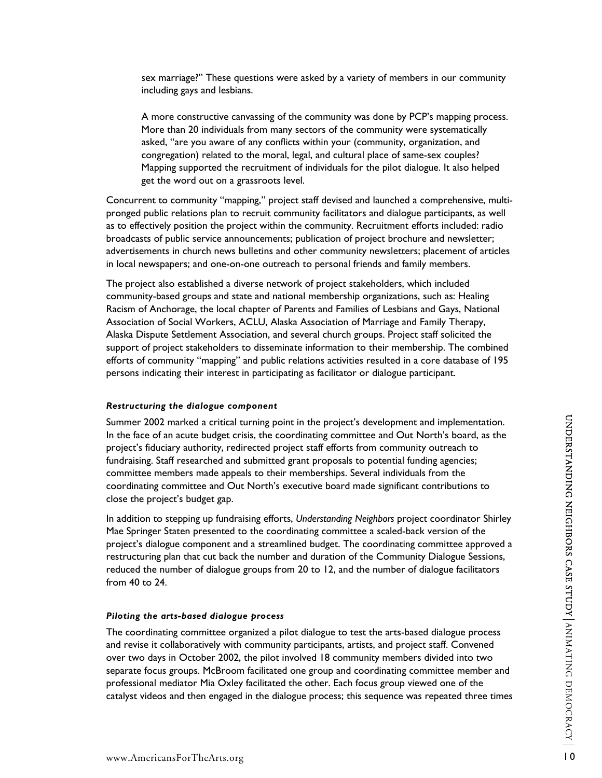sex marriage?" These questions were asked by a variety of members in our community including gays and lesbians.

A more constructive canvassing of the community was done by PCP's mapping process. More than 20 individuals from many sectors of the community were systematically asked, "are you aware of any conflicts within your (community, organization, and congregation) related to the moral, legal, and cultural place of same-sex couples? Mapping supported the recruitment of individuals for the pilot dialogue. It also helped get the word out on a grassroots level.

Concurrent to community "mapping," project staff devised and launched a comprehensive, multipronged public relations plan to recruit community facilitators and dialogue participants, as well as to effectively position the project within the community. Recruitment efforts included: radio broadcasts of public service announcements; publication of project brochure and newsletter; advertisements in church news bulletins and other community newsletters; placement of articles in local newspapers; and one-on-one outreach to personal friends and family members.

The project also established a diverse network of project stakeholders, which included community-based groups and state and national membership organizations, such as: Healing Racism of Anchorage, the local chapter of Parents and Families of Lesbians and Gays, National Association of Social Workers, ACLU, Alaska Association of Marriage and Family Therapy, Alaska Dispute Settlement Association, and several church groups. Project staff solicited the support of project stakeholders to disseminate information to their membership. The combined efforts of community "mapping" and public relations activities resulted in a core database of 195 persons indicating their interest in participating as facilitator or dialogue participant.

#### *Restructuring the dialogue component*

Summer 2002 marked a critical turning point in the project's development and implementation.<br>The the face of an actue budget crisis, the coordinating committee and Out North's board, as the<br>Invelocits spatifies case the ca Summer 2002 marked a critical turning point in the project's development and implementation. In the face of an acute budget crisis, the coordinating committee and Out North's board, as the project's fiduciary authority, redirected project staff efforts from community outreach to fundraising. Staff researched and submitted grant proposals to potential funding agencies; committee members made appeals to their memberships. Several individuals from the coordinating committee and Out North's executive board made significant contributions to close the project's budget gap.

In addition to stepping up fundraising efforts, *Understanding Neighbors* project coordinator Shirley Mae Springer Staten presented to the coordinating committee a scaled-back version of the project's dialogue component and a streamlined budget. The coordinating committee approved a restructuring plan that cut back the number and duration of the Community Dialogue Sessions, reduced the number of dialogue groups from 20 to 12, and the number of dialogue facilitators from 40 to 24.

#### *Piloting the arts-based dialogue process*

The coordinating committee organized a pilot dialogue to test the arts-based dialogue process and revise it collaboratively with community participants, artists, and project staff. Convened over two days in October 2002, the pilot involved 18 community members divided into two separate focus groups. McBroom facilitated one group and coordinating committee member and professional mediator Mia Oxley facilitated the other. Each focus group viewed one of the catalyst videos and then engaged in the dialogue process; this sequence was repeated three times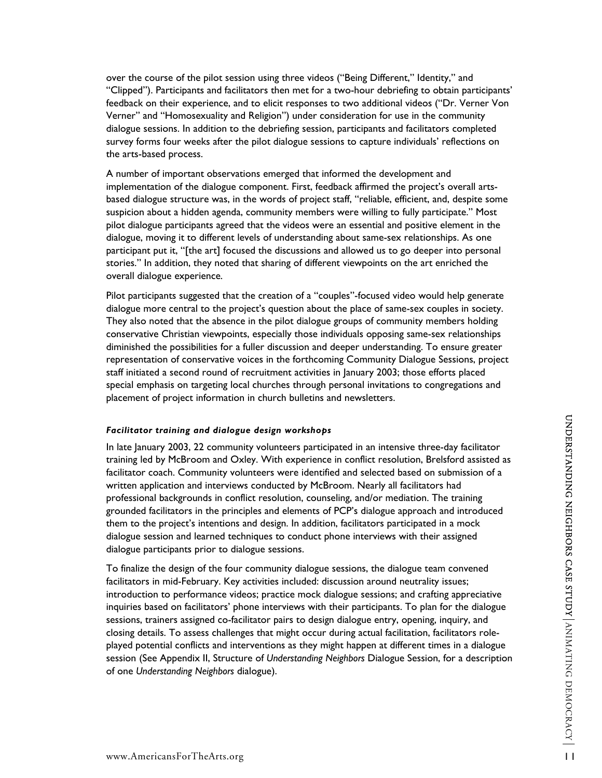over the course of the pilot session using three videos ("Being Different," Identity," and "Clipped"). Participants and facilitators then met for a two-hour debriefing to obtain participants' feedback on their experience, and to elicit responses to two additional videos ("Dr. Verner Von Verner" and "Homosexuality and Religion") under consideration for use in the community dialogue sessions. In addition to the debriefing session, participants and facilitators completed survey forms four weeks after the pilot dialogue sessions to capture individuals' reflections on the arts-based process.

A number of important observations emerged that informed the development and implementation of the dialogue component. First, feedback affirmed the project's overall artsbased dialogue structure was, in the words of project staff, "reliable, efficient, and, despite some suspicion about a hidden agenda, community members were willing to fully participate." Most pilot dialogue participants agreed that the videos were an essential and positive element in the dialogue, moving it to different levels of understanding about same-sex relationships. As one participant put it, "[the art] focused the discussions and allowed us to go deeper into personal stories." In addition, they noted that sharing of different viewpoints on the art enriched the overall dialogue experience.

Pilot participants suggested that the creation of a "couples"-focused video would help generate dialogue more central to the project's question about the place of same-sex couples in society. They also noted that the absence in the pilot dialogue groups of community members holding conservative Christian viewpoints, especially those individuals opposing same-sex relationships diminished the possibilities for a fuller discussion and deeper understanding. To ensure greater representation of conservative voices in the forthcoming Community Dialogue Sessions, project staff initiated a second round of recruitment activities in January 2003; those efforts placed special emphasis on targeting local churches through personal invitations to congregations and placement of project information in church bulletins and newsletters.

#### *Facilitator training and dialogue design workshops*

Facilitator training and dialogue design workshops<br>
In late January 2003, 22 community volunteers participated in an intensive three-day facilitator<br>
dialitator coach. Community volunteers vere identified and selected base In late January 2003, 22 community volunteers participated in an intensive three-day facilitator training led by McBroom and Oxley. With experience in conflict resolution, Brelsford assisted as facilitator coach. Community volunteers were identified and selected based on submission of a written application and interviews conducted by McBroom. Nearly all facilitators had professional backgrounds in conflict resolution, counseling, and/or mediation. The training grounded facilitators in the principles and elements of PCP's dialogue approach and introduced them to the project's intentions and design. In addition, facilitators participated in a mock dialogue session and learned techniques to conduct phone interviews with their assigned dialogue participants prior to dialogue sessions.

To finalize the design of the four community dialogue sessions, the dialogue team convened facilitators in mid-February. Key activities included: discussion around neutrality issues; introduction to performance videos; practice mock dialogue sessions; and crafting appreciative inquiries based on facilitators' phone interviews with their participants. To plan for the dialogue sessions, trainers assigned co-facilitator pairs to design dialogue entry, opening, inquiry, and closing details. To assess challenges that might occur during actual facilitation, facilitators roleplayed potential conflicts and interventions as they might happen at different times in a dialogue session (See Appendix II, Structure of *Understanding Neighbors* Dialogue Session, for a description of one *Understanding Neighbors* dialogue).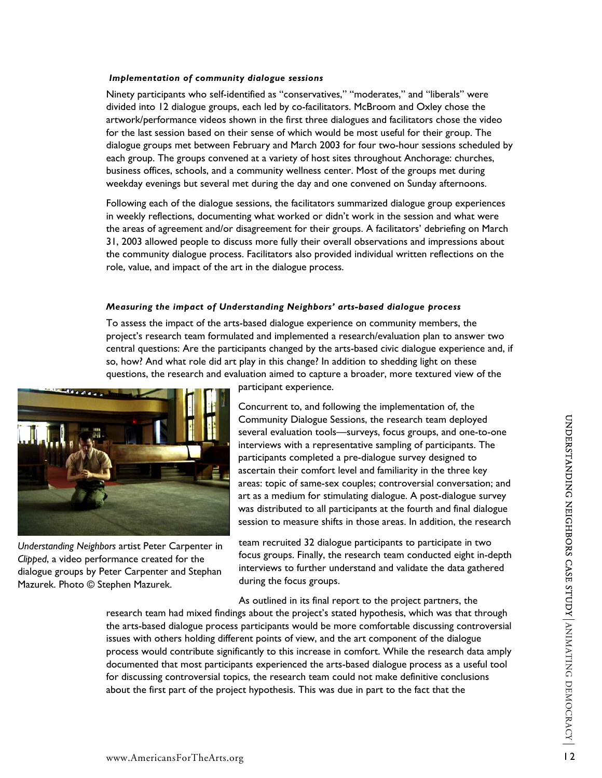#### *Implementation of community dialogue sessions*

Ninety participants who self-identified as "conservatives," "moderates," and "liberals" were divided into 12 dialogue groups, each led by co-facilitators. McBroom and Oxley chose the artwork/performance videos shown in the first three dialogues and facilitators chose the video for the last session based on their sense of which would be most useful for their group. The dialogue groups met between February and March 2003 for four two-hour sessions scheduled by each group. The groups convened at a variety of host sites throughout Anchorage: churches, business offices, schools, and a community wellness center. Most of the groups met during weekday evenings but several met during the day and one convened on Sunday afternoons.

Following each of the dialogue sessions, the facilitators summarized dialogue group experiences in weekly reflections, documenting what worked or didn't work in the session and what were the areas of agreement and/or disagreement for their groups. A facilitators' debriefing on March 31, 2003 allowed people to discuss more fully their overall observations and impressions about the community dialogue process. Facilitators also provided individual written reflections on the role, value, and impact of the art in the dialogue process.

#### *Measuring the impact of Understanding Neighbors' arts-based dialogue process*

To assess the impact of the arts-based dialogue experience on community members, the project's research team formulated and implemented a research/evaluation plan to answer two central questions: Are the participants changed by the arts-based civic dialogue experience and, if so, how? And what role did art play in this change? In addition to shedding light on these questions, the research and evaluation aimed to capture a broader, more textured view of the



*Understanding Neighbors* artist Peter Carpenter in *Clipped*, a video performance created for the dialogue groups by Peter Carpenter and Stephan Mazurek. Photo © Stephen Mazurek.

participant experience.

Concurrent to, and following the implementation of, the Community Dialogue Sessions, the research team deployed several evaluation tools—surveys, focus groups, and one-to-one interviews with a representative sampling of participants. The participants completed a pre-dialogue survey designed to ascertain their comfort level and familiarity in the three key areas: topic of same-sex couples; controversial conversation; and art as a medium for stimulating dialogue. A post-dialogue survey was distributed to all participants at the fourth and final dialogue session to measure shifts in those areas. In addition, the research

team recruited 32 dialogue participants to participate in two focus groups. Finally, the research team conducted eight in-depth interviews to further understand and validate the data gathered during the focus groups.

States and depited to the research team deployed and the research team depited and the saction of the material and participants. The asset to participants completed a pre-dialogue survey designed to a sect and their comfor As outlined in its final report to the project partners, the research team had mixed findings about the project's stated hypothesis, which was that through the arts-based dialogue process participants would be more comfortable discussing controversial issues with others holding different points of view, and the art component of the dialogue process would contribute significantly to this increase in comfort. While the research data amply documented that most participants experienced the arts-based dialogue process as a useful tool for discussing controversial topics, the research team could not make definitive conclusions about the first part of the project hypothesis. This was due in part to the fact that the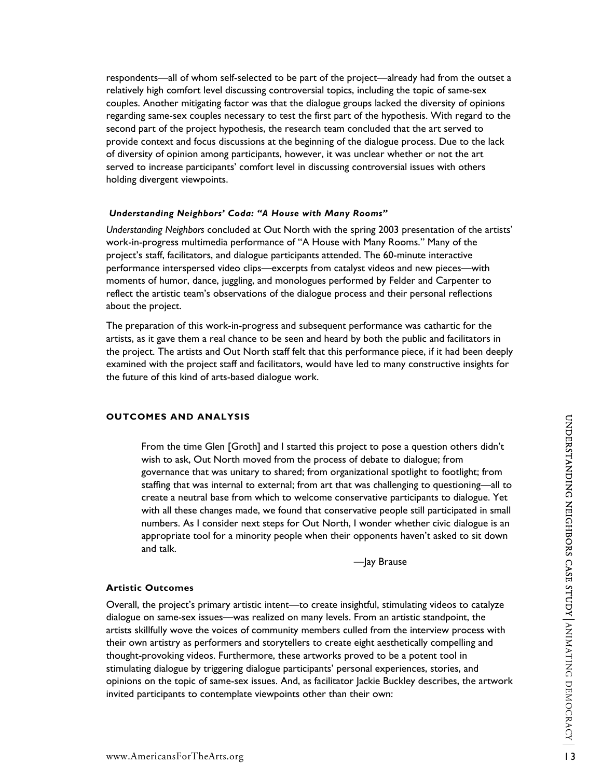respondents—all of whom self-selected to be part of the project—already had from the outset a relatively high comfort level discussing controversial topics, including the topic of same-sex couples. Another mitigating factor was that the dialogue groups lacked the diversity of opinions regarding same-sex couples necessary to test the first part of the hypothesis. With regard to the second part of the project hypothesis, the research team concluded that the art served to provide context and focus discussions at the beginning of the dialogue process. Due to the lack of diversity of opinion among participants, however, it was unclear whether or not the art served to increase participants' comfort level in discussing controversial issues with others holding divergent viewpoints.

#### *Understanding Neighbors' Coda: "A House with Many Rooms"*

*Understanding Neighbors* concluded at Out North with the spring 2003 presentation of the artists' work-in-progress multimedia performance of "A House with Many Rooms." Many of the project's staff, facilitators, and dialogue participants attended. The 60-minute interactive performance interspersed video clips—excerpts from catalyst videos and new pieces—with moments of humor, dance, juggling, and monologues performed by Felder and Carpenter to reflect the artistic team's observations of the dialogue process and their personal reflections about the project.

The preparation of this work-in-progress and subsequent performance was cathartic for the artists, as it gave them a real chance to be seen and heard by both the public and facilitators in the project. The artists and Out North staff felt that this performance piece, if it had been deeply examined with the project staff and facilitators, would have led to many constructive insights for the future of this kind of arts-based dialogue work.

# **OUTCOMES AND ANALYSIS**

**Example and CASE ARTO ANALYSIS**<br>
From the time Glen [Groth] and I started this project to pose a question others didn't<br>
wish to ask, Out North moved from the process of debate to dialogue, from<br>
geovernance that was unit From the time Glen [Groth] and I started this project to pose a question others didn't wish to ask, Out North moved from the process of debate to dialogue; from governance that was unitary to shared; from organizational spotlight to footlight; from staffing that was internal to external; from art that was challenging to questioning—all to create a neutral base from which to welcome conservative participants to dialogue. Yet with all these changes made, we found that conservative people still participated in small numbers. As I consider next steps for Out North, I wonder whether civic dialogue is an appropriate tool for a minority people when their opponents haven't asked to sit down and talk.

—Jay Brause

#### **Artistic Outcomes**

Overall, the project's primary artistic intent—to create insightful, stimulating videos to catalyze dialogue on same-sex issues—was realized on many levels. From an artistic standpoint, the artists skillfully wove the voices of community members culled from the interview process with their own artistry as performers and storytellers to create eight aesthetically compelling and thought-provoking videos. Furthermore, these artworks proved to be a potent tool in stimulating dialogue by triggering dialogue participants' personal experiences, stories, and opinions on the topic of same-sex issues. And, as facilitator Jackie Buckley describes, the artwork invited participants to contemplate viewpoints other than their own: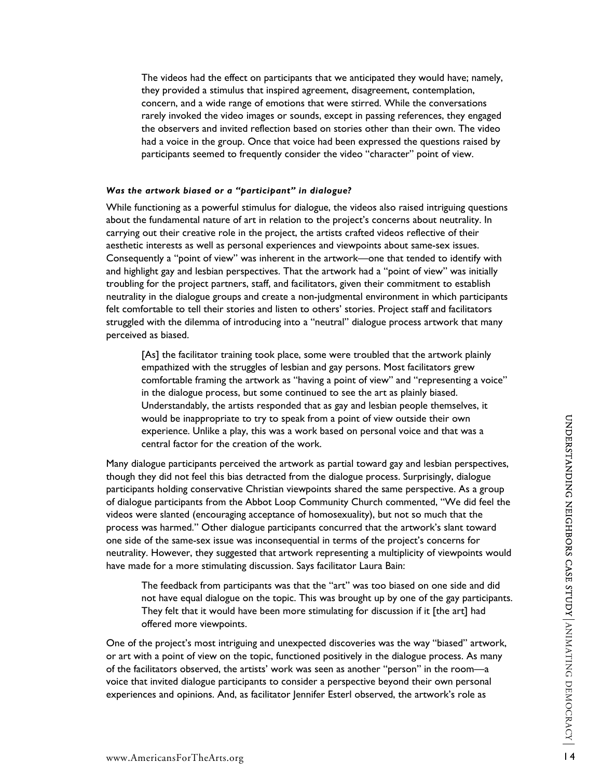The videos had the effect on participants that we anticipated they would have; namely, they provided a stimulus that inspired agreement, disagreement, contemplation, concern, and a wide range of emotions that were stirred. While the conversations rarely invoked the video images or sounds, except in passing references, they engaged the observers and invited reflection based on stories other than their own. The video had a voice in the group. Once that voice had been expressed the questions raised by participants seemed to frequently consider the video "character" point of view.

#### *Was the artwork biased or a "participant" in dialogue?*

While functioning as a powerful stimulus for dialogue, the videos also raised intriguing questions about the fundamental nature of art in relation to the project's concerns about neutrality. In carrying out their creative role in the project, the artists crafted videos reflective of their aesthetic interests as well as personal experiences and viewpoints about same-sex issues. Consequently a "point of view" was inherent in the artwork—one that tended to identify with and highlight gay and lesbian perspectives. That the artwork had a "point of view" was initially troubling for the project partners, staff, and facilitators, given their commitment to establish neutrality in the dialogue groups and create a non-judgmental environment in which participants felt comfortable to tell their stories and listen to others' stories. Project staff and facilitators struggled with the dilemma of introducing into a "neutral" dialogue process artwork that many perceived as biased.

[As] the facilitator training took place, some were troubled that the artwork plainly empathized with the struggles of lesbian and gay persons. Most facilitators grew comfortable framing the artwork as "having a point of view" and "representing a voice" in the dialogue process, but some continued to see the art as plainly biased. Understandably, the artists responded that as gay and lesbian people themselves, it would be inappropriate to try to speak from a point of view outside their own experience. Unlike a play, this was a work based on personal voice and that was a central factor for the creation of the work.

would be inappropriate to try to speak from a point of view outside their own<br>experience. Unlike a play, this was a work based on personal voice and that was a<br>central factor for the creation of the work.<br>Many diagoge part Many dialogue participants perceived the artwork as partial toward gay and lesbian perspectives, though they did not feel this bias detracted from the dialogue process. Surprisingly, dialogue participants holding conservative Christian viewpoints shared the same perspective. As a group of dialogue participants from the Abbot Loop Community Church commented, "We did feel the videos were slanted (encouraging acceptance of homosexuality), but not so much that the process was harmed." Other dialogue participants concurred that the artwork's slant toward one side of the same-sex issue was inconsequential in terms of the project's concerns for neutrality. However, they suggested that artwork representing a multiplicity of viewpoints would have made for a more stimulating discussion. Says facilitator Laura Bain:

The feedback from participants was that the "art" was too biased on one side and did not have equal dialogue on the topic. This was brought up by one of the gay participants. They felt that it would have been more stimulating for discussion if it [the art] had offered more viewpoints.

One of the project's most intriguing and unexpected discoveries was the way "biased" artwork, or art with a point of view on the topic, functioned positively in the dialogue process. As many of the facilitators observed, the artists' work was seen as another "person" in the room—a voice that invited dialogue participants to consider a perspective beyond their own personal experiences and opinions. And, as facilitator Jennifer Esterl observed, the artwork's role as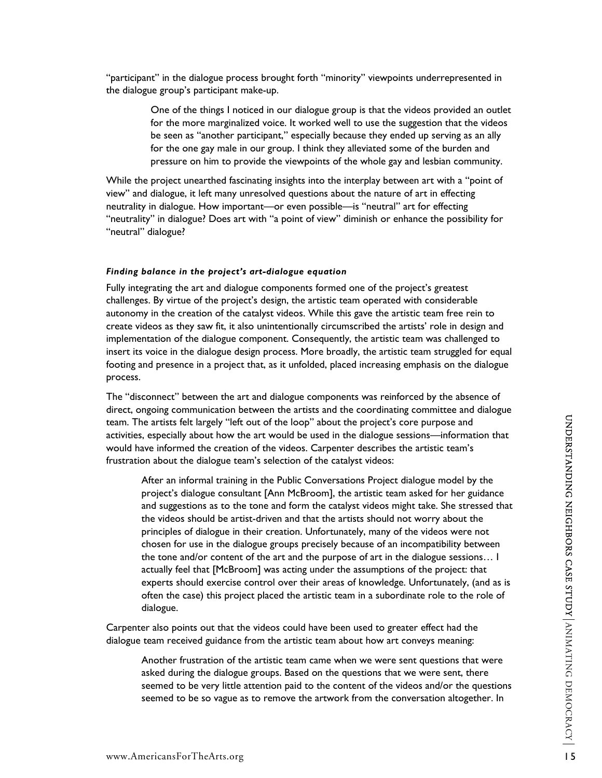"participant" in the dialogue process brought forth "minority" viewpoints underrepresented in the dialogue group's participant make-up.

> One of the things I noticed in our dialogue group is that the videos provided an outlet for the more marginalized voice. It worked well to use the suggestion that the videos be seen as "another participant," especially because they ended up serving as an ally for the one gay male in our group. I think they alleviated some of the burden and pressure on him to provide the viewpoints of the whole gay and lesbian community.

While the project unearthed fascinating insights into the interplay between art with a "point of view" and dialogue, it left many unresolved questions about the nature of art in effecting neutrality in dialogue. How important—or even possible—is "neutral" art for effecting "neutrality" in dialogue? Does art with "a point of view" diminish or enhance the possibility for "neutral" dialogue?

#### *Finding balance in the project's art-dialogue equation*

Fully integrating the art and dialogue components formed one of the project's greatest challenges. By virtue of the project's design, the artistic team operated with considerable autonomy in the creation of the catalyst videos. While this gave the artistic team free rein to create videos as they saw fit, it also unintentionally circumscribed the artists' role in design and implementation of the dialogue component. Consequently, the artistic team was challenged to insert its voice in the dialogue design process. More broadly, the artistic team struggled for equal footing and presence in a project that, as it unfolded, placed increasing emphasis on the dialogue process.

The "disconnect" between the art and dialogue components was reinforced by the absence of direct, ongoing communication between the artists and the coordinating committee and dialogue team. The artists felt largely "left out of the loop" about the project's core purpose and activities, especially about how the art would be used in the dialogue sessions—information that would have informed the creation of the videos. Carpenter describes the artistic team's frustration about the dialogue team's selection of the catalyst videos:

team. The artists felt largely "left out of the loop" about the project's core purpose and<br>activities, especially about how the art would be used in the dialogue sestions—information that<br>would have informate the creation After an informal training in the Public Conversations Project dialogue model by the project's dialogue consultant [Ann McBroom], the artistic team asked for her guidance and suggestions as to the tone and form the catalyst videos might take. She stressed that the videos should be artist-driven and that the artists should not worry about the principles of dialogue in their creation. Unfortunately, many of the videos were not chosen for use in the dialogue groups precisely because of an incompatibility between the tone and/or content of the art and the purpose of art in the dialogue sessions… I actually feel that [McBroom] was acting under the assumptions of the project: that experts should exercise control over their areas of knowledge. Unfortunately, (and as is often the case) this project placed the artistic team in a subordinate role to the role of dialogue.

Carpenter also points out that the videos could have been used to greater effect had the dialogue team received guidance from the artistic team about how art conveys meaning:

Another frustration of the artistic team came when we were sent questions that were asked during the dialogue groups. Based on the questions that we were sent, there seemed to be very little attention paid to the content of the videos and/or the questions seemed to be so vague as to remove the artwork from the conversation altogether. In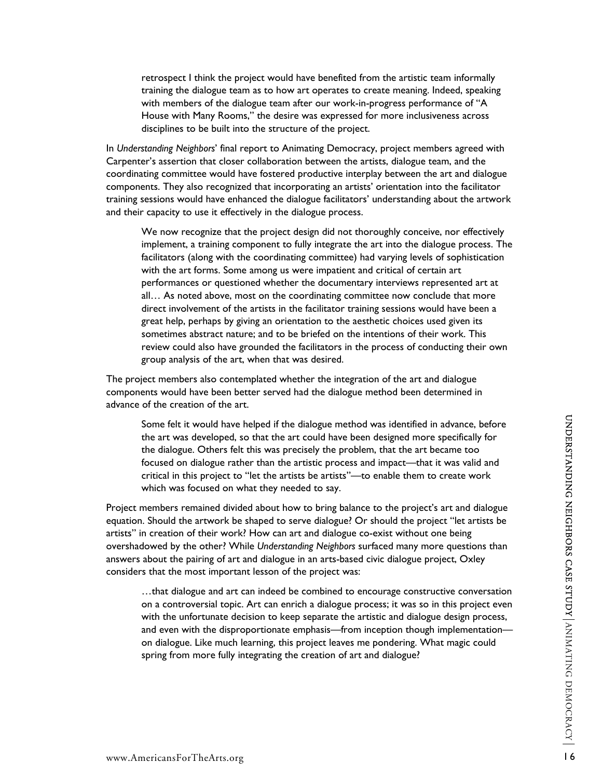retrospect I think the project would have benefited from the artistic team informally training the dialogue team as to how art operates to create meaning. Indeed, speaking with members of the dialogue team after our work-in-progress performance of "A House with Many Rooms," the desire was expressed for more inclusiveness across disciplines to be built into the structure of the project.

In *Understanding Neighbors*' final report to Animating Democracy, project members agreed with Carpenter's assertion that closer collaboration between the artists, dialogue team, and the coordinating committee would have fostered productive interplay between the art and dialogue components. They also recognized that incorporating an artists' orientation into the facilitator training sessions would have enhanced the dialogue facilitators' understanding about the artwork and their capacity to use it effectively in the dialogue process.

We now recognize that the project design did not thoroughly conceive, nor effectively implement, a training component to fully integrate the art into the dialogue process. The facilitators (along with the coordinating committee) had varying levels of sophistication with the art forms. Some among us were impatient and critical of certain art performances or questioned whether the documentary interviews represented art at all… As noted above, most on the coordinating committee now conclude that more direct involvement of the artists in the facilitator training sessions would have been a great help, perhaps by giving an orientation to the aesthetic choices used given its sometimes abstract nature; and to be briefed on the intentions of their work. This review could also have grounded the facilitators in the process of conducting their own group analysis of the art, when that was desired.

The project members also contemplated whether the integration of the art and dialogue components would have been better served had the dialogue method been determined in advance of the creation of the art.

Some felt it would have helped if the dialogue method was identified in advance, before the art was developed, so that the art could have been designed more specifically for the dialogue. Others felt this was precisely the problem, that the art became too focused on dialogue rather than the artistic process and impact—that it was valid and critical in this project to "let the artists be artists"—to enable them to create work which was focused on what they needed to say.

Some felt it would have helped if the dialogue method was identified in advance, before<br>the art was developed, so that the art could have been designed more specifically for<br>the dialogue. Others felt this was precisely th Project members remained divided about how to bring balance to the project's art and dialogue equation. Should the artwork be shaped to serve dialogue? Or should the project "let artists be artists" in creation of their work? How can art and dialogue co-exist without one being overshadowed by the other? While *Understanding Neighbors* surfaced many more questions than answers about the pairing of art and dialogue in an arts-based civic dialogue project, Oxley considers that the most important lesson of the project was:

…that dialogue and art can indeed be combined to encourage constructive conversation on a controversial topic. Art can enrich a dialogue process; it was so in this project even with the unfortunate decision to keep separate the artistic and dialogue design process, and even with the disproportionate emphasis—from inception though implementation on dialogue. Like much learning, this project leaves me pondering. What magic could spring from more fully integrating the creation of art and dialogue?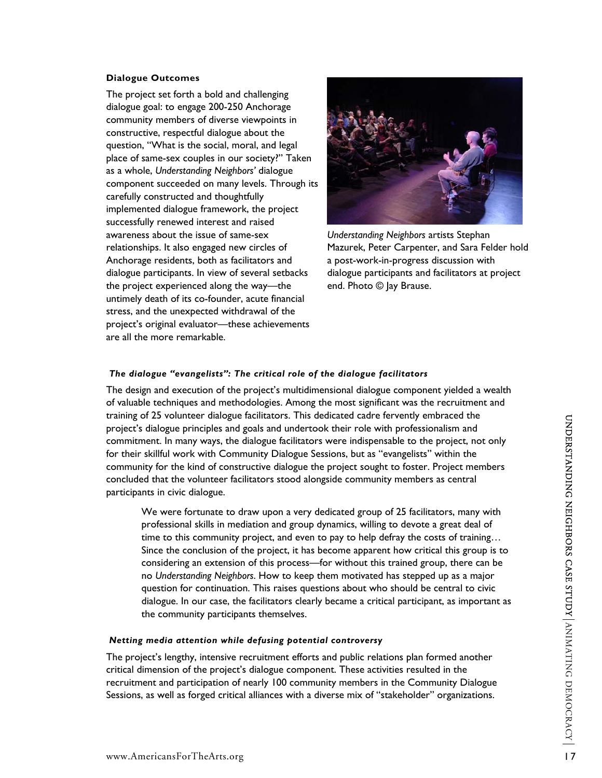#### **Dialogue Outcomes**

The project set forth a bold and challenging dialogue goal: to engage 200-250 Anchorage community members of diverse viewpoints in constructive, respectful dialogue about the question, "What is the social, moral, and legal place of same-sex couples in our society?" Taken as a whole, *Understanding Neighbors'* dialogue component succeeded on many levels. Through its carefully constructed and thoughtfully implemented dialogue framework, the project successfully renewed interest and raised awareness about the issue of same-sex relationships. It also engaged new circles of Anchorage residents, both as facilitators and dialogue participants. In view of several setbacks the project experienced along the way—the untimely death of its co-founder, acute financial stress, and the unexpected withdrawal of the project's original evaluator—these achievements are all the more remarkable.



*Understanding Neighbors* artists Stephan Mazurek, Peter Carpenter, and Sara Felder hold a post-work-in-progress discussion with dialogue participants and facilitators at project end. Photo © Jay Brause.

#### *The dialogue "evangelists": The critical role of the dialogue facilitators*

The design and execution of the project's multidimensional dialogue component yielded a wealth of valuable techniques and methodologies. Among the most significant was the recruitment and training of 25 volunteer dialogue facilitators. This dedicated cadre fervently embraced the project's dialogue principles and goals and undertook their role with professionalism and commitment. In many ways, the dialogue facilitators were indispensable to the project, not only for their skillful work with Community Dialogue Sessions, but as "evangelists" within the community for the kind of constructive dialogue the project sought to foster. Project members concluded that the volunteer facilitators stood alongside community members as central participants in civic dialogue.

training or 25 volunteer talongue hacilitations. This telestated care reverting the more interpretises and gradiations were indispensale to the project, not only for their stillful work, the dalogue facilitators were indis We were fortunate to draw upon a very dedicated group of 25 facilitators, many with professional skills in mediation and group dynamics, willing to devote a great deal of time to this community project, and even to pay to help defray the costs of training… Since the conclusion of the project, it has become apparent how critical this group is to considering an extension of this process—for without this trained group, there can be no *Understanding Neighbors*. How to keep them motivated has stepped up as a major question for continuation. This raises questions about who should be central to civic dialogue. In our case, the facilitators clearly became a critical participant, as important as the community participants themselves.

#### *Netting media attention while defusing potential controversy*

The project's lengthy, intensive recruitment efforts and public relations plan formed another critical dimension of the project's dialogue component. These activities resulted in the recruitment and participation of nearly 100 community members in the Community Dialogue Sessions, as well as forged critical alliances with a diverse mix of "stakeholder" organizations.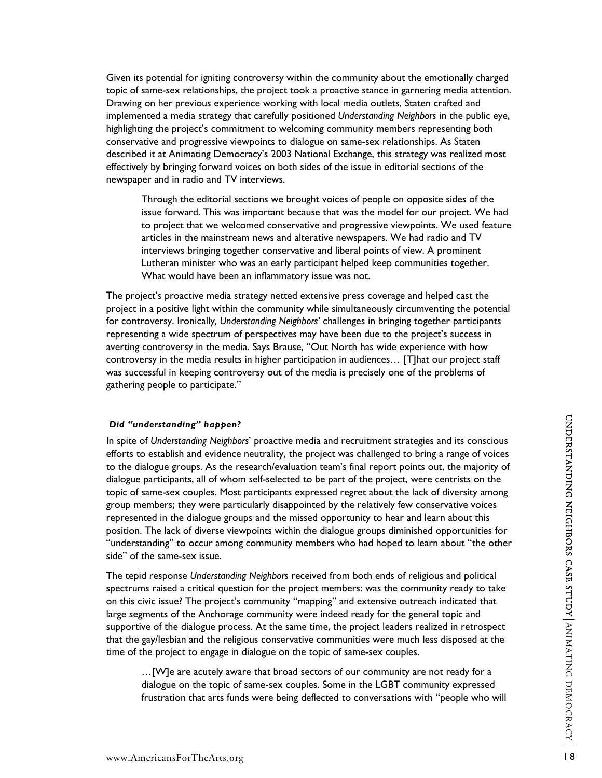Given its potential for igniting controversy within the community about the emotionally charged topic of same-sex relationships, the project took a proactive stance in garnering media attention. Drawing on her previous experience working with local media outlets, Staten crafted and implemented a media strategy that carefully positioned *Understanding Neighbors* in the public eye, highlighting the project's commitment to welcoming community members representing both conservative and progressive viewpoints to dialogue on same-sex relationships. As Staten described it at Animating Democracy's 2003 National Exchange, this strategy was realized most effectively by bringing forward voices on both sides of the issue in editorial sections of the newspaper and in radio and TV interviews.

Through the editorial sections we brought voices of people on opposite sides of the issue forward. This was important because that was the model for our project. We had to project that we welcomed conservative and progressive viewpoints. We used feature articles in the mainstream news and alterative newspapers. We had radio and TV interviews bringing together conservative and liberal points of view. A prominent Lutheran minister who was an early participant helped keep communities together. What would have been an inflammatory issue was not.

The project's proactive media strategy netted extensive press coverage and helped cast the project in a positive light within the community while simultaneously circumventing the potential for controversy. Ironically*, Understanding Neighbors'* challenges in bringing together participants representing a wide spectrum of perspectives may have been due to the project's success in averting controversy in the media. Says Brause, "Out North has wide experience with how controversy in the media results in higher participation in audiences… [T]hat our project staff was successful in keeping controversy out of the media is precisely one of the problems of gathering people to participate."

# *Did "understanding" happen?*

Did "understanding" happen?<br>
In spire of Understanding" happen?<br>
in spire of Understanding Neightloofs proactive media and recruitment strategies and its conscious<br>
efforts to establish and evidence neutrality, the project In spite of *Understanding Neighbors*' proactive media and recruitment strategies and its conscious efforts to establish and evidence neutrality, the project was challenged to bring a range of voices to the dialogue groups. As the research/evaluation team's final report points out, the majority of dialogue participants, all of whom self-selected to be part of the project, were centrists on the topic of same-sex couples. Most participants expressed regret about the lack of diversity among group members; they were particularly disappointed by the relatively few conservative voices represented in the dialogue groups and the missed opportunity to hear and learn about this position. The lack of diverse viewpoints within the dialogue groups diminished opportunities for "understanding" to occur among community members who had hoped to learn about "the other side" of the same-sex issue.

The tepid response *Understanding Neighbors* received from both ends of religious and political spectrums raised a critical question for the project members: was the community ready to take on this civic issue? The project's community "mapping" and extensive outreach indicated that large segments of the Anchorage community were indeed ready for the general topic and supportive of the dialogue process. At the same time, the project leaders realized in retrospect that the gay/lesbian and the religious conservative communities were much less disposed at the time of the project to engage in dialogue on the topic of same-sex couples.

…[W]e are acutely aware that broad sectors of our community are not ready for a dialogue on the topic of same-sex couples. Some in the LGBT community expressed frustration that arts funds were being deflected to conversations with "people who will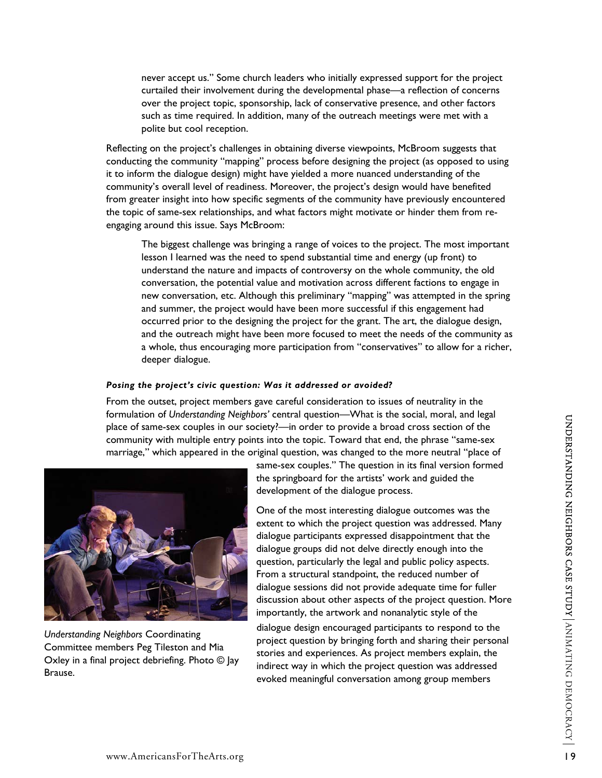never accept us." Some church leaders who initially expressed support for the project curtailed their involvement during the developmental phase—a reflection of concerns over the project topic, sponsorship, lack of conservative presence, and other factors such as time required. In addition, many of the outreach meetings were met with a polite but cool reception.

Reflecting on the project's challenges in obtaining diverse viewpoints, McBroom suggests that conducting the community "mapping" process before designing the project (as opposed to using it to inform the dialogue design) might have yielded a more nuanced understanding of the community's overall level of readiness. Moreover, the project's design would have benefited from greater insight into how specific segments of the community have previously encountered the topic of same-sex relationships, and what factors might motivate or hinder them from reengaging around this issue. Says McBroom:

The biggest challenge was bringing a range of voices to the project. The most important lesson I learned was the need to spend substantial time and energy (up front) to understand the nature and impacts of controversy on the whole community, the old conversation, the potential value and motivation across different factions to engage in new conversation, etc. Although this preliminary "mapping" was attempted in the spring and summer, the project would have been more successful if this engagement had occurred prior to the designing the project for the grant. The art, the dialogue design, and the outreach might have been more focused to meet the needs of the community as a whole, thus encouraging more participation from "conservatives" to allow for a richer, deeper dialogue.

#### *Posing the project's civic question: Was it addressed or avoided?*

From the outset, project members gave careful consideration to issues of neutrality in the formulation of *Understanding Neighbors'* central question—What is the social, moral, and legal place of same-sex couples in our society?—in order to provide a broad cross section of the community with multiple entry points into the topic. Toward that end, the phrase "same-sex marriage," which appeared in the original question, was changed to the more neutral "place of



*Understanding Neighbors* Coordinating Committee members Peg Tileston and Mia Oxley in a final project debriefing. Photo © Jay Brause.

same-sex couples." The question in its final version formed the springboard for the artists' work and guided the development of the dialogue process.

www.AmericansForTheArts.org<br>www.AmericansForTheArts.org<br>www.AmericansForTheArts.org<br>www.AmericansForTheArts.org<br>www.AmericansForTheArts.org<br>www.AmericansForTheArts.org<br>www.AmericansForTheArts.org<br>www.AmericansForTheArts.or One of the most interesting dialogue outcomes was the extent to which the project question was addressed. Many dialogue participants expressed disappointment that the dialogue groups did not delve directly enough into the question, particularly the legal and public policy aspects. From a structural standpoint, the reduced number of dialogue sessions did not provide adequate time for fuller discussion about other aspects of the project question. More importantly, the artwork and nonanalytic style of the dialogue design encouraged participants to respond to the project question by bringing forth and sharing their personal stories and experiences. As project members explain, the indirect way in which the project question was addressed evoked meaningful conversation among group members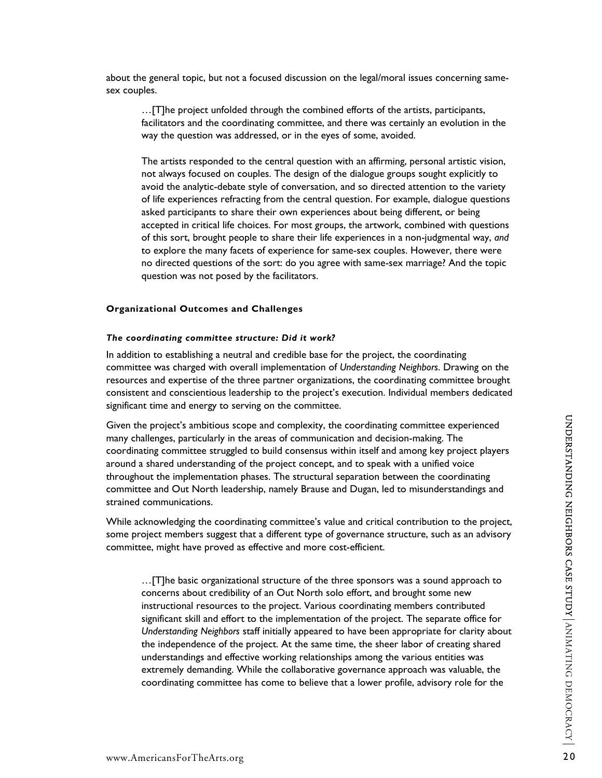about the general topic, but not a focused discussion on the legal/moral issues concerning samesex couples.

…[T]he project unfolded through the combined efforts of the artists, participants, facilitators and the coordinating committee, and there was certainly an evolution in the way the question was addressed, or in the eyes of some, avoided.

The artists responded to the central question with an affirming, personal artistic vision, not always focused on couples. The design of the dialogue groups sought explicitly to avoid the analytic-debate style of conversation, and so directed attention to the variety of life experiences refracting from the central question. For example, dialogue questions asked participants to share their own experiences about being different, or being accepted in critical life choices. For most groups, the artwork, combined with questions of this sort, brought people to share their life experiences in a non-judgmental way, *and* to explore the many facets of experience for same-sex couples. However, there were no directed questions of the sort: do you agree with same-sex marriage? And the topic question was not posed by the facilitators.

#### **Organizational Outcomes and Challenges**

#### *The coordinating committee structure: Did it work?*

In addition to establishing a neutral and credible base for the project, the coordinating committee was charged with overall implementation of *Understanding Neighbors*. Drawing on the resources and expertise of the three partner organizations, the coordinating committee brought consistent and conscientious leadership to the project's execution. Individual members dedicated significant time and energy to serving on the committee.

Given the project's ambitious scope and complexity, the coordinating committee experienced many challenges, particularly in the areas of communication and decision-making. The coordinating committee struggled to build consensus within itself and among key project players around a shared understanding of the project concept, and to speak with a unified voice throughout the implementation phases. The structural separation between the coordinating committee and Out North leadership, namely Brause and Dugan, led to misunderstandings and strained communications.

While acknowledging the coordinating committee's value and critical contribution to the project, some project members suggest that a different type of governance structure, such as an advisory committee, might have proved as effective and more cost-efficient.

Given the project's ambitious scope and complexity, the coordinating committee experienced<br>marry challenges, particularly in the areas of communication and decision-making. The<br>coordinating committee struggled to build con …[T]he basic organizational structure of the three sponsors was a sound approach to concerns about credibility of an Out North solo effort, and brought some new instructional resources to the project. Various coordinating members contributed significant skill and effort to the implementation of the project. The separate office for *Understanding Neighbors* staff initially appeared to have been appropriate for clarity about the independence of the project. At the same time, the sheer labor of creating shared understandings and effective working relationships among the various entities was extremely demanding. While the collaborative governance approach was valuable, the coordinating committee has come to believe that a lower profile, advisory role for the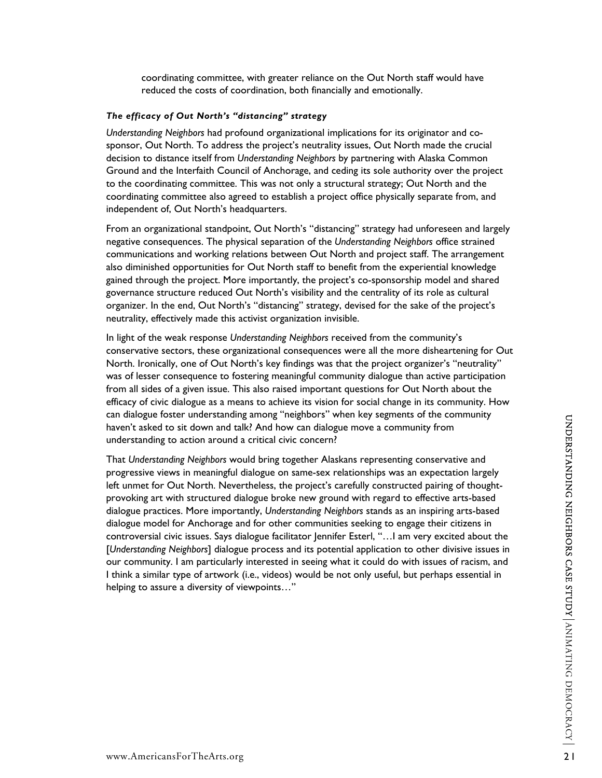coordinating committee, with greater reliance on the Out North staff would have reduced the costs of coordination, both financially and emotionally.

### *The efficacy of Out North's "distancing" strategy*

*Understanding Neighbors* had profound organizational implications for its originator and cosponsor, Out North. To address the project's neutrality issues, Out North made the crucial decision to distance itself from *Understanding Neighbors* by partnering with Alaska Common Ground and the Interfaith Council of Anchorage, and ceding its sole authority over the project to the coordinating committee. This was not only a structural strategy; Out North and the coordinating committee also agreed to establish a project office physically separate from, and independent of, Out North's headquarters.

From an organizational standpoint, Out North's "distancing" strategy had unforeseen and largely negative consequences. The physical separation of the *Understanding Neighbors* office strained communications and working relations between Out North and project staff. The arrangement also diminished opportunities for Out North staff to benefit from the experiential knowledge gained through the project. More importantly, the project's co-sponsorship model and shared governance structure reduced Out North's visibility and the centrality of its role as cultural organizer. In the end, Out North's "distancing" strategy, devised for the sake of the project's neutrality, effectively made this activist organization invisible.

In light of the weak response *Understanding Neighbors* received from the community's conservative sectors, these organizational consequences were all the more disheartening for Out North. Ironically, one of Out North's key findings was that the project organizer's "neutrality" was of lesser consequence to fostering meaningful community dialogue than active participation from all sides of a given issue. This also raised important questions for Out North about the efficacy of civic dialogue as a means to achieve its vision for social change in its community. How can dialogue foster understanding among "neighbors" when key segments of the community haven't asked to sit down and talk? And how can dialogue move a community from understanding to action around a critical civic concern?

En unarge to the met standing anong integrations where its vergine that we stormulting from<br>there is taked to sit down and talk? And how can dialogue move a community from<br>understanding to action around a critical civic co That *Understanding Neighbors* would bring together Alaskans representing conservative and progressive views in meaningful dialogue on same-sex relationships was an expectation largely left unmet for Out North. Nevertheless, the project's carefully constructed pairing of thoughtprovoking art with structured dialogue broke new ground with regard to effective arts-based dialogue practices. More importantly, *Understanding Neighbors* stands as an inspiring arts-based dialogue model for Anchorage and for other communities seeking to engage their citizens in controversial civic issues. Says dialogue facilitator Jennifer Esterl, "…I am very excited about the [*Understanding Neighbors*] dialogue process and its potential application to other divisive issues in our community. I am particularly interested in seeing what it could do with issues of racism, and I think a similar type of artwork (i.e., videos) would be not only useful, but perhaps essential in helping to assure a diversity of viewpoints…"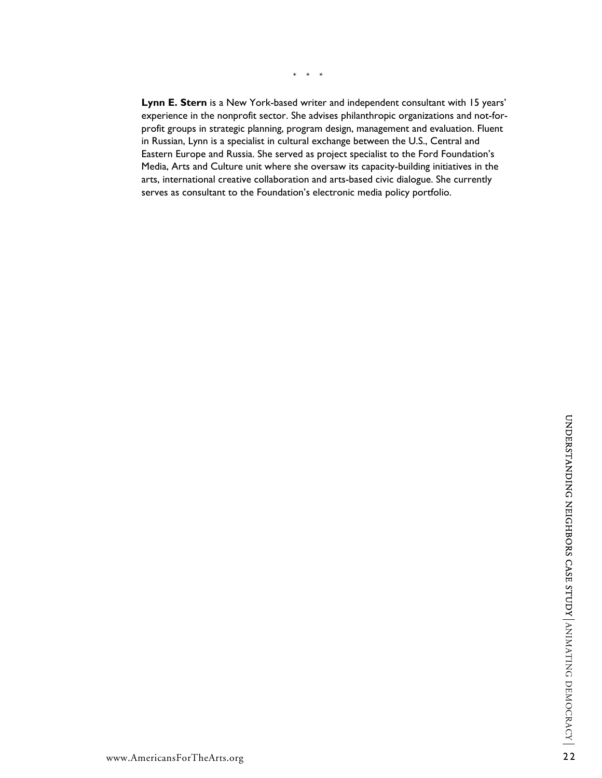\* \* \*

**Lynn E. Stern** is a New York-based writer and independent consultant with 15 years' experience in the nonprofit sector. She advises philanthropic organizations and not-forprofit groups in strategic planning, program design, management and evaluation. Fluent in Russian, Lynn is a specialist in cultural exchange between the U.S., Central and Eastern Europe and Russia. She served as project specialist to the Ford Foundation's Media, Arts and Culture unit where she oversaw its capacity-building initiatives in the arts, international creative collaboration and arts-based civic dialogue. She currently serves as consultant to the Foundation's electronic media policy portfolio.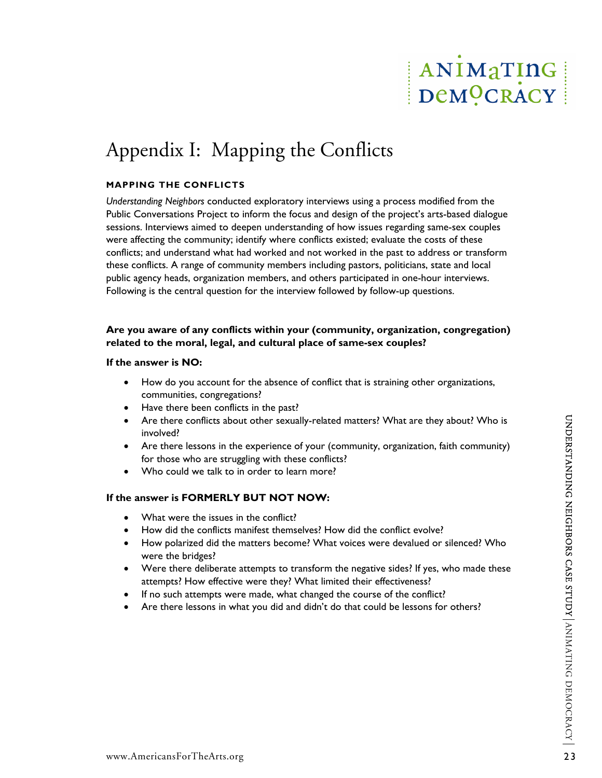# ANIMATING DeMOCRACY

# Appendix I: Mapping the Conflicts

## **MAPPING THE CONFLICTS**

*Understanding Neighbors* conducted exploratory interviews using a process modified from the Public Conversations Project to inform the focus and design of the project's arts-based dialogue sessions. Interviews aimed to deepen understanding of how issues regarding same-sex couples were affecting the community; identify where conflicts existed; evaluate the costs of these conflicts; and understand what had worked and not worked in the past to address or transform these conflicts. A range of community members including pastors, politicians, state and local public agency heads, organization members, and others participated in one-hour interviews. Following is the central question for the interview followed by follow-up questions.

# **Are you aware of any conflicts within your (community, organization, congregation) related to the moral, legal, and cultural place of same-sex couples?**

### **If the answer is NO:**

- How do you account for the absence of conflict that is straining other organizations, communities, congregations?
- Have there been conflicts in the past?
- Are there conflicts about other sexually-related matters? What are they about? Who is involved?
- Are there lessons in the experience of your (community, organization, faith community) for those who are struggling with these conflicts?
- Who could we talk to in order to learn more?

## **If the answer is FORMERLY BUT NOT NOW:**

- What were the issues in the conflict?
- How did the conflicts manifest themselves? How did the conflict evolve?
- How polarized did the matters become? What voices were devalued or silenced? Who were the bridges?
- Are there conflicts about other sexually-related matters? What are they about? Who is<br>
involved?<br>
 Are there lessons in the experience of your (community, organization, faith community)<br>
for those who are struggling wi • Were there deliberate attempts to transform the negative sides? If yes, who made these attempts? How effective were they? What limited their effectiveness?
	- If no such attempts were made, what changed the course of the conflict?
	- Are there lessons in what you did and didn't do that could be lessons for others?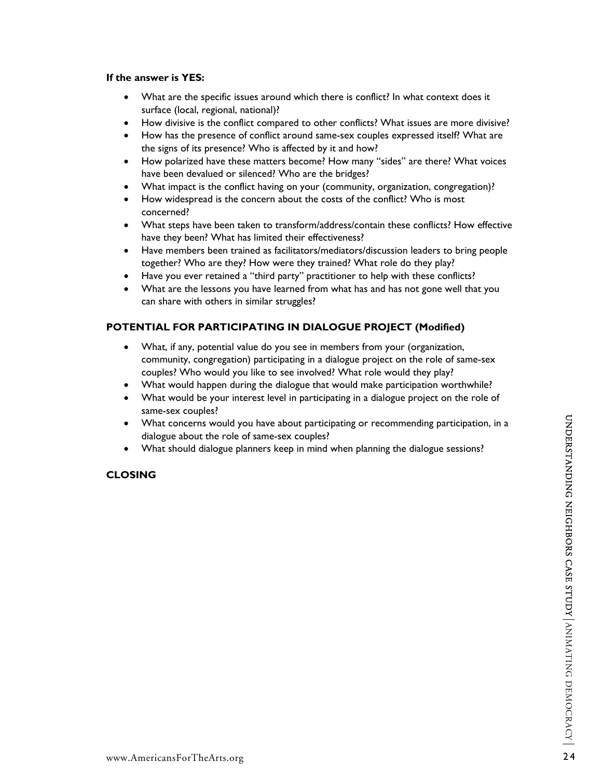### **If the answer is YES:**

- What are the specific issues around which there is conflict? In what context does it surface (local, regional, national)?
- How divisive is the conflict compared to other conflicts? What issues are more divisive?
- How has the presence of conflict around same-sex couples expressed itself? What are the signs of its presence? Who is affected by it and how?
- How polarized have these matters become? How many "sides" are there? What voices have been devalued or silenced? Who are the bridges?
- What impact is the conflict having on your (community, organization, congregation)?
- How widespread is the concern about the costs of the conflict? Who is most concerned?
- What steps have been taken to transform/address/contain these conflicts? How effective have they been? What has limited their effectiveness?
- Have members been trained as facilitators/mediators/discussion leaders to bring people together? Who are they? How were they trained? What role do they play?
- Have you ever retained a "third party" practitioner to help with these conflicts?
- What are the lessons you have learned from what has and has not gone well that you can share with others in similar struggles?

# **POTENTIAL FOR PARTICIPATING IN DIALOGUE PROJECT (Modified)**

- What, if any, potential value do you see in members from your (organization, community, congregation) participating in a dialogue project on the role of same-sex couples? Who would you like to see involved? What role would they play?
- What would happen during the dialogue that would make participation worthwhile?
- What would be your interest level in participating in a dialogue project on the role of same-sex couples?
- what concerns would you have about participating or recommending participation, in a<br>
dialogue about the role of same-sex couples?<br> **CLOSING**<br> **CLOSING**<br> **CLOSING**<br> **CLOSING**<br> **CLOSING**<br>
<br> **CLOSING**<br>
<br>
<br>
<br>
<br>
<br>

<br> • What concerns would you have about participating or recommending participation, in a dialogue about the role of same-sex couples?
	- What should dialogue planners keep in mind when planning the dialogue sessions?

## **CLOSING**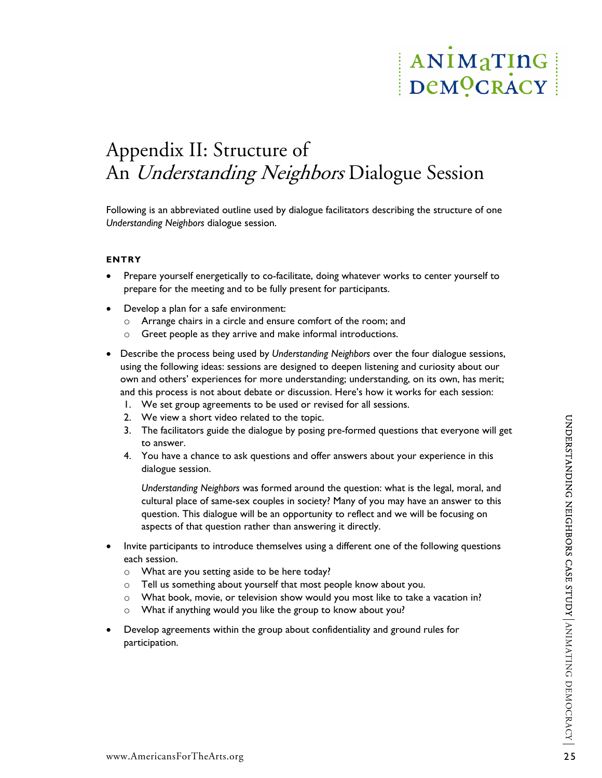# ANIMaTING DeMOCRACY

# Appendix II: Structure of An *Understanding Neighbors* Dialogue Session

Following is an abbreviated outline used by dialogue facilitators describing the structure of one *Understanding Neighbors* dialogue session.

# **ENTRY**

- Prepare yourself energetically to co-facilitate, doing whatever works to center yourself to prepare for the meeting and to be fully present for participants.
- Develop a plan for a safe environment:
	- o Arrange chairs in a circle and ensure comfort of the room; and
	- o Greet people as they arrive and make informal introductions.
- Describe the process being used by *Understanding Neighbors* over the four dialogue sessions, using the following ideas: sessions are designed to deepen listening and curiosity about our own and others' experiences for more understanding; understanding, on its own, has merit; and this process is not about debate or discussion. Here's how it works for each session:
	- 1. We set group agreements to be used or revised for all sessions.
	- 2. We view a short video related to the topic.
	- 3. The facilitators guide the dialogue by posing pre-formed questions that everyone will get to answer.
	- 4. You have a chance to ask questions and offer answers about your experience in this dialogue session.

2. We view a short video related to the topic.<br>
3. The facilitators guide the dialogue by posing pre-formed questions and exeryone will get<br>
to answer.<br>
4. You have a chance to ask questions and offer answers about your e *Understanding Neighbors* was formed around the question: what is the legal, moral, and cultural place of same-sex couples in society? Many of you may have an answer to this question. This dialogue will be an opportunity to reflect and we will be focusing on aspects of that question rather than answering it directly.

- Invite participants to introduce themselves using a different one of the following questions each session.
	- o What are you setting aside to be here today?
	- o Tell us something about yourself that most people know about you.
	- o What book, movie, or television show would you most like to take a vacation in?
	- o What if anything would you like the group to know about you?
- Develop agreements within the group about confidentiality and ground rules for participation.